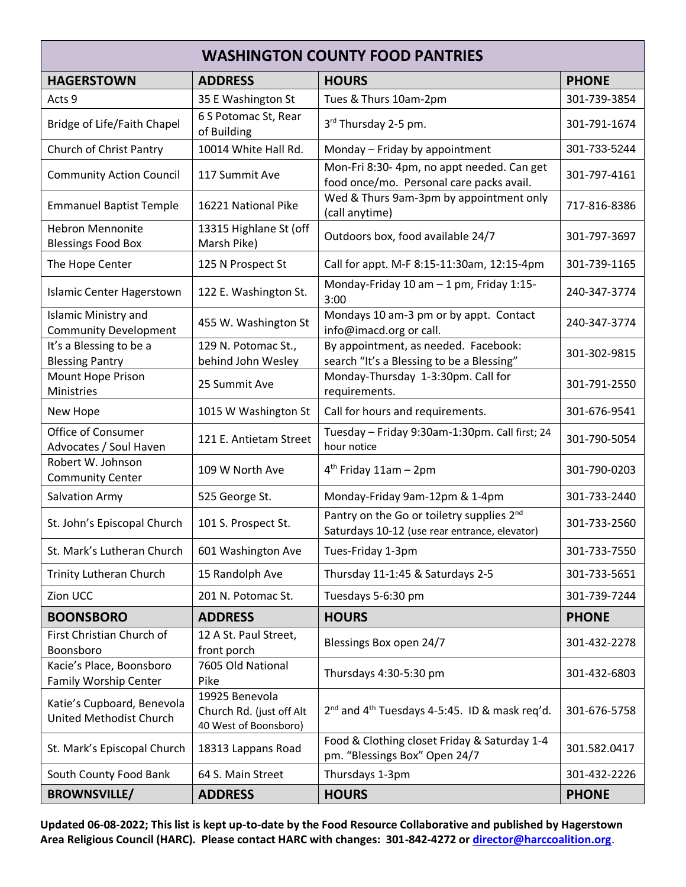| <b>WASHINGTON COUNTY FOOD PANTRIES</b>                      |                                                                     |                                                                                            |              |  |  |  |
|-------------------------------------------------------------|---------------------------------------------------------------------|--------------------------------------------------------------------------------------------|--------------|--|--|--|
| <b>HAGERSTOWN</b>                                           | <b>ADDRESS</b>                                                      | <b>HOURS</b>                                                                               | <b>PHONE</b> |  |  |  |
| Acts 9                                                      | 35 E Washington St                                                  | Tues & Thurs 10am-2pm                                                                      | 301-739-3854 |  |  |  |
| <b>Bridge of Life/Faith Chapel</b>                          | 6 S Potomac St, Rear<br>of Building                                 | 3 <sup>rd</sup> Thursday 2-5 pm.                                                           | 301-791-1674 |  |  |  |
| Church of Christ Pantry                                     | 10014 White Hall Rd.                                                | Monday - Friday by appointment                                                             | 301-733-5244 |  |  |  |
| <b>Community Action Council</b>                             | 117 Summit Ave                                                      | Mon-Fri 8:30- 4pm, no appt needed. Can get<br>food once/mo. Personal care packs avail.     | 301-797-4161 |  |  |  |
| <b>Emmanuel Baptist Temple</b>                              | 16221 National Pike                                                 | Wed & Thurs 9am-3pm by appointment only<br>(call anytime)                                  | 717-816-8386 |  |  |  |
| <b>Hebron Mennonite</b><br><b>Blessings Food Box</b>        | 13315 Highlane St (off<br>Marsh Pike)                               | Outdoors box, food available 24/7                                                          | 301-797-3697 |  |  |  |
| The Hope Center                                             | 125 N Prospect St                                                   | Call for appt. M-F 8:15-11:30am, 12:15-4pm                                                 | 301-739-1165 |  |  |  |
| <b>Islamic Center Hagerstown</b>                            | 122 E. Washington St.                                               | Monday-Friday 10 am - 1 pm, Friday 1:15-<br>3:00                                           | 240-347-3774 |  |  |  |
| <b>Islamic Ministry and</b><br><b>Community Development</b> | 455 W. Washington St                                                | Mondays 10 am-3 pm or by appt. Contact<br>info@imacd.org or call.                          | 240-347-3774 |  |  |  |
| It's a Blessing to be a<br><b>Blessing Pantry</b>           | 129 N. Potomac St.,<br>behind John Wesley                           | By appointment, as needed. Facebook:<br>search "It's a Blessing to be a Blessing"          | 301-302-9815 |  |  |  |
| <b>Mount Hope Prison</b><br>Ministries                      | 25 Summit Ave                                                       | Monday-Thursday 1-3:30pm. Call for<br>requirements.                                        | 301-791-2550 |  |  |  |
| New Hope                                                    | 1015 W Washington St                                                | Call for hours and requirements.                                                           | 301-676-9541 |  |  |  |
| Office of Consumer<br>Advocates / Soul Haven                | 121 E. Antietam Street                                              | Tuesday - Friday 9:30am-1:30pm. Call first; 24<br>hour notice                              | 301-790-5054 |  |  |  |
| Robert W. Johnson<br><b>Community Center</b>                | 109 W North Ave                                                     | $4th$ Friday 11am - 2pm                                                                    | 301-790-0203 |  |  |  |
| Salvation Army                                              | 525 George St.                                                      | Monday-Friday 9am-12pm & 1-4pm                                                             | 301-733-2440 |  |  |  |
| St. John's Episcopal Church                                 | 101 S. Prospect St.                                                 | Pantry on the Go or toiletry supplies 2nd<br>Saturdays 10-12 (use rear entrance, elevator) | 301-733-2560 |  |  |  |
| St. Mark's Lutheran Church                                  | 601 Washington Ave                                                  | Tues-Friday 1-3pm                                                                          | 301-733-7550 |  |  |  |
| <b>Trinity Lutheran Church</b>                              | 15 Randolph Ave                                                     | Thursday 11-1:45 & Saturdays 2-5                                                           | 301-733-5651 |  |  |  |
| Zion UCC                                                    | 201 N. Potomac St.                                                  | Tuesdays 5-6:30 pm                                                                         | 301-739-7244 |  |  |  |
| <b>BOONSBORO</b>                                            | <b>ADDRESS</b>                                                      | <b>HOURS</b>                                                                               | <b>PHONE</b> |  |  |  |
| First Christian Church of<br>Boonsboro                      | 12 A St. Paul Street,<br>front porch                                | Blessings Box open 24/7                                                                    | 301-432-2278 |  |  |  |
| Kacie's Place, Boonsboro<br>Family Worship Center           | 7605 Old National<br>Pike                                           | Thursdays 4:30-5:30 pm                                                                     | 301-432-6803 |  |  |  |
| Katie's Cupboard, Benevola<br>United Methodist Church       | 19925 Benevola<br>Church Rd. (just off Alt<br>40 West of Boonsboro) | 2 <sup>nd</sup> and 4 <sup>th</sup> Tuesdays 4-5:45. ID & mask req'd.                      | 301-676-5758 |  |  |  |
| St. Mark's Episcopal Church                                 | 18313 Lappans Road                                                  | Food & Clothing closet Friday & Saturday 1-4<br>pm. "Blessings Box" Open 24/7              | 301.582.0417 |  |  |  |
| South County Food Bank                                      | 64 S. Main Street                                                   | Thursdays 1-3pm                                                                            | 301-432-2226 |  |  |  |
| <b>BROWNSVILLE/</b>                                         | <b>ADDRESS</b>                                                      | <b>HOURS</b>                                                                               | <b>PHONE</b> |  |  |  |

**Updated 06-08-2022; This list is kept up-to-date by the Food Resource Collaborative and published by Hagerstown Area Religious Council (HARC). Please contact HARC with changes: 301-842-4272 or [director@harccoalition.org](mailto:director@harccoalition.org)**.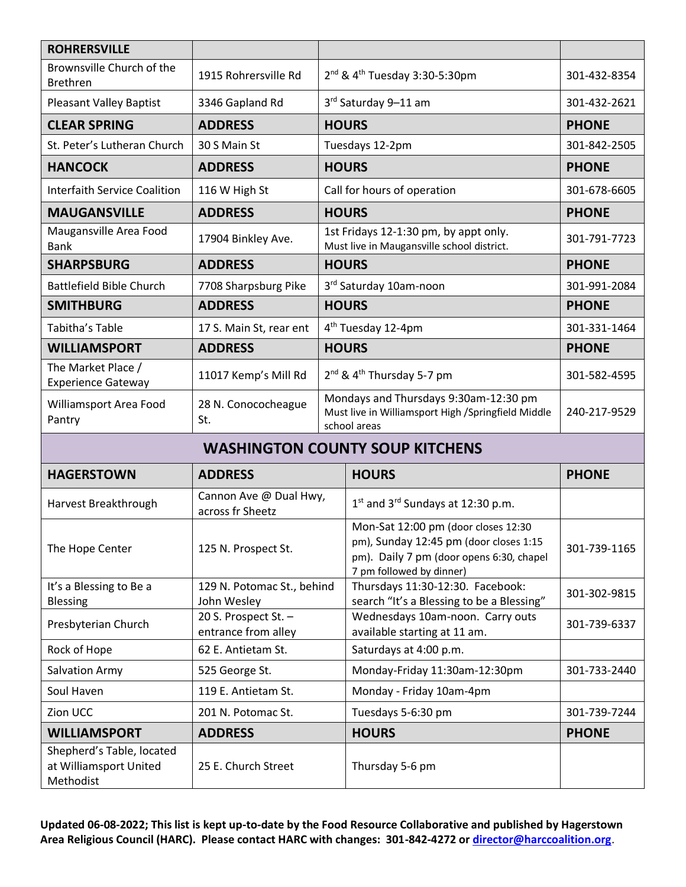| <b>ROHRERSVILLE</b>                                              |                                             |                                                |                                                                                                                                                       |              |  |  |
|------------------------------------------------------------------|---------------------------------------------|------------------------------------------------|-------------------------------------------------------------------------------------------------------------------------------------------------------|--------------|--|--|
| Brownsville Church of the<br><b>Brethren</b>                     | 1915 Rohrersville Rd                        | $2^{nd}$ & 4 <sup>th</sup> Tuesday 3:30-5:30pm |                                                                                                                                                       | 301-432-8354 |  |  |
| <b>Pleasant Valley Baptist</b>                                   | 3346 Gapland Rd                             | 3rd Saturday 9-11 am                           |                                                                                                                                                       | 301-432-2621 |  |  |
| <b>CLEAR SPRING</b>                                              | <b>ADDRESS</b>                              |                                                | <b>HOURS</b>                                                                                                                                          | <b>PHONE</b> |  |  |
| St. Peter's Lutheran Church                                      | 30 S Main St                                | Tuesdays 12-2pm                                |                                                                                                                                                       | 301-842-2505 |  |  |
| <b>HANCOCK</b>                                                   | <b>ADDRESS</b>                              |                                                | <b>HOURS</b>                                                                                                                                          | <b>PHONE</b> |  |  |
| <b>Interfaith Service Coalition</b>                              | 116 W High St                               | Call for hours of operation                    |                                                                                                                                                       | 301-678-6605 |  |  |
| <b>MAUGANSVILLE</b>                                              | <b>ADDRESS</b>                              | <b>HOURS</b>                                   |                                                                                                                                                       | <b>PHONE</b> |  |  |
| Maugansville Area Food<br><b>Bank</b>                            | 17904 Binkley Ave.                          |                                                | 1st Fridays 12-1:30 pm, by appt only.<br>Must live in Maugansville school district.                                                                   | 301-791-7723 |  |  |
| <b>SHARPSBURG</b>                                                | <b>ADDRESS</b>                              |                                                | <b>HOURS</b>                                                                                                                                          | <b>PHONE</b> |  |  |
| <b>Battlefield Bible Church</b>                                  | 7708 Sharpsburg Pike                        |                                                | 3rd Saturday 10am-noon                                                                                                                                | 301-991-2084 |  |  |
| <b>SMITHBURG</b>                                                 | <b>ADDRESS</b>                              | <b>HOURS</b>                                   |                                                                                                                                                       | <b>PHONE</b> |  |  |
| Tabitha's Table                                                  | 17 S. Main St, rear ent                     | 4 <sup>th</sup> Tuesday 12-4pm                 |                                                                                                                                                       | 301-331-1464 |  |  |
| <b>WILLIAMSPORT</b>                                              | <b>ADDRESS</b>                              |                                                | <b>HOURS</b>                                                                                                                                          | <b>PHONE</b> |  |  |
| The Market Place /<br><b>Experience Gateway</b>                  | 11017 Kemp's Mill Rd                        |                                                | 2 <sup>nd</sup> & 4 <sup>th</sup> Thursday 5-7 pm                                                                                                     | 301-582-4595 |  |  |
| Williamsport Area Food<br>Pantry                                 | 28 N. Conococheague<br>St.                  |                                                | Mondays and Thursdays 9:30am-12:30 pm<br>Must live in Williamsport High /Springfield Middle<br>school areas                                           | 240-217-9529 |  |  |
| <b>WASHINGTON COUNTY SOUP KITCHENS</b>                           |                                             |                                                |                                                                                                                                                       |              |  |  |
| <b>HAGERSTOWN</b>                                                | <b>ADDRESS</b>                              |                                                | <b>HOURS</b>                                                                                                                                          | <b>PHONE</b> |  |  |
| Harvest Breakthrough                                             | Cannon Ave @ Dual Hwy,<br>across fr Sheetz  |                                                | $1st$ and $3rd$ Sundays at 12:30 p.m.                                                                                                                 |              |  |  |
| The Hope Center                                                  | 125 N. Prospect St.                         |                                                | Mon-Sat 12:00 pm (door closes 12:30<br>pm), Sunday 12:45 pm (door closes 1:15<br>pm). Daily 7 pm (door opens 6:30, chapel<br>7 pm followed by dinner) | 301-739-1165 |  |  |
| It's a Blessing to Be a<br>Blessing                              | 129 N. Potomac St., behind<br>John Wesley   |                                                | Thursdays 11:30-12:30. Facebook:<br>search "It's a Blessing to be a Blessing"                                                                         | 301-302-9815 |  |  |
| Presbyterian Church                                              | 20 S. Prospect St. -<br>entrance from alley |                                                | Wednesdays 10am-noon. Carry outs<br>available starting at 11 am.                                                                                      | 301-739-6337 |  |  |
| Rock of Hope                                                     | 62 E. Antietam St.                          |                                                | Saturdays at 4:00 p.m.                                                                                                                                |              |  |  |
| <b>Salvation Army</b>                                            | 525 George St.                              |                                                | Monday-Friday 11:30am-12:30pm                                                                                                                         | 301-733-2440 |  |  |
| Soul Haven                                                       | 119 E. Antietam St.                         |                                                | Monday - Friday 10am-4pm                                                                                                                              |              |  |  |
| Zion UCC                                                         | 201 N. Potomac St.                          |                                                | Tuesdays 5-6:30 pm                                                                                                                                    | 301-739-7244 |  |  |
| <b>WILLIAMSPORT</b>                                              | <b>ADDRESS</b>                              |                                                | <b>HOURS</b>                                                                                                                                          | <b>PHONE</b> |  |  |
| Shepherd's Table, located<br>at Williamsport United<br>Methodist | 25 E. Church Street                         |                                                | Thursday 5-6 pm                                                                                                                                       |              |  |  |